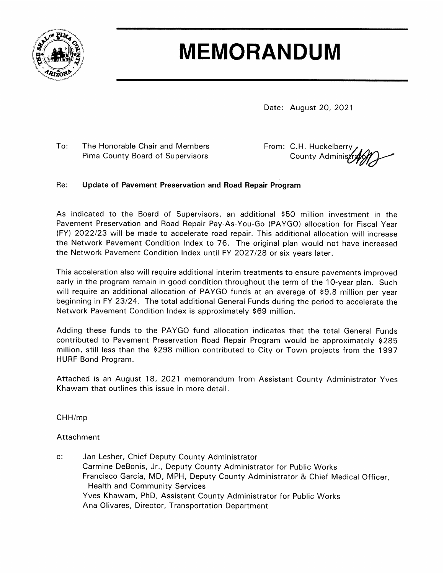

## **MEMORANDUM**

Date: August 20, 2021

 $To:$ The Honorable Chair and Members Pima County Board of Supervisors

From: C.H. Huckelberry County Administr

## Re: Update of Pavement Preservation and Road Repair Program

As indicated to the Board of Supervisors, an additional \$50 million investment in the Pavement Preservation and Road Repair Pay-As-You-Go (PAYGO) allocation for Fiscal Year (FY) 2022/23 will be made to accelerate road repair. This additional allocation will increase the Network Pavement Condition Index to 76. The original plan would not have increased the Network Pavement Condition Index until FY 2027/28 or six years later.

This acceleration also will require additional interim treatments to ensure pavements improved early in the program remain in good condition throughout the term of the 10-year plan. Such will require an additional allocation of PAYGO funds at an average of \$9.8 million per year beginning in FY 23/24. The total additional General Funds during the period to accelerate the Network Pavement Condition Index is approximately \$69 million.

Adding these funds to the PAYGO fund allocation indicates that the total General Funds contributed to Pavement Preservation Road Repair Program would be approximately \$285 million, still less than the \$298 million contributed to City or Town projects from the 1997 HURF Bond Program.

Attached is an August 18, 2021 memorandum from Assistant County Administrator Yves Khawam that outlines this issue in more detail.

CHH/mp

Attachment

Jan Lesher, Chief Deputy County Administrator  $c:$ Carmine DeBonis, Jr., Deputy County Administrator for Public Works Francisco García, MD, MPH, Deputy County Administrator & Chief Medical Officer, **Health and Community Services** Yves Khawam, PhD, Assistant County Administrator for Public Works Ana Olivares, Director, Transportation Department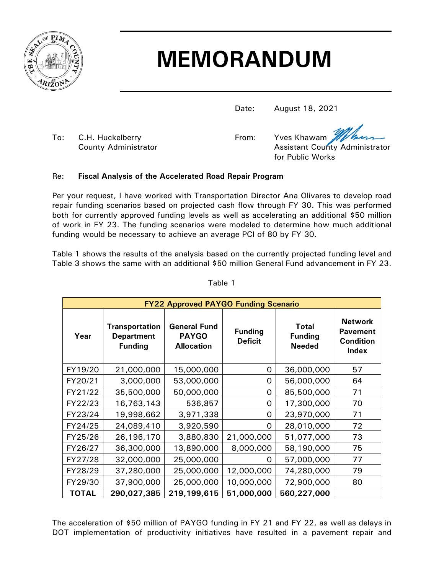

## **MEMORANDUM**

Date: August 18, 2021

To: C.H. Huckelberry The State of the C.H. Huckelberry The State of Trom: Yves Khawam

County Administrator **Assistant County Administrator** Assistant County Administrator for Public Works

## Re: **Fiscal Analysis of the Accelerated Road Repair Program**

Per your request, I have worked with Transportation Director Ana Olivares to develop road repair funding scenarios based on projected cash flow through FY 30. This was performed both for currently approved funding levels as well as accelerating an additional \$50 million of work in FY 23. The funding scenarios were modeled to determine how much additional funding would be necessary to achieve an average PCI of 80 by FY 30.

Table 1 shows the results of the analysis based on the currently projected funding level and Table 3 shows the same with an additional \$50 million General Fund advancement in FY 23.

| <b>FY22 Approved PAYGO Funding Scenario</b> |                                                              |                                                          |                                  |                                                 |                                                                       |
|---------------------------------------------|--------------------------------------------------------------|----------------------------------------------------------|----------------------------------|-------------------------------------------------|-----------------------------------------------------------------------|
| Year                                        | <b>Transportation</b><br><b>Department</b><br><b>Funding</b> | <b>General Fund</b><br><b>PAYGO</b><br><b>Allocation</b> | <b>Funding</b><br><b>Deficit</b> | <b>Total</b><br><b>Funding</b><br><b>Needed</b> | <b>Network</b><br><b>Pavement</b><br><b>Condition</b><br><b>Index</b> |
| FY19/20                                     | 21,000,000                                                   | 15,000,000                                               | 0                                | 36,000,000                                      | 57                                                                    |
| FY20/21                                     | 3,000,000                                                    | 53,000,000                                               | 0                                | 56,000,000                                      | 64                                                                    |
| FY21/22                                     | 35,500,000                                                   | 50,000,000                                               | 0                                | 85,500,000                                      | 71                                                                    |
| FY22/23                                     | 16,763,143                                                   | 536,857                                                  | 0                                | 17,300,000                                      | 70                                                                    |
| FY23/24                                     | 19,998,662                                                   | 3,971,338                                                | 0                                | 23,970,000                                      | 71                                                                    |
| FY24/25                                     | 24,089,410                                                   | 3,920,590                                                | O                                | 28,010,000                                      | 72                                                                    |
| FY25/26                                     | 26,196,170                                                   | 3,880,830                                                | 21,000,000                       | 51,077,000                                      | 73                                                                    |
| FY26/27                                     | 36,300,000                                                   | 13,890,000                                               | 8,000,000                        | 58,190,000                                      | 75                                                                    |
| FY27/28                                     | 32,000,000                                                   | 25,000,000                                               | Ω                                | 57,000,000                                      | 77                                                                    |
| FY28/29                                     | 37,280,000                                                   | 25,000,000                                               | 12,000,000                       | 74,280,000                                      | 79                                                                    |
| FY29/30                                     | 37,900,000                                                   | 25,000,000                                               | 10,000,000                       | 72,900,000                                      | 80                                                                    |
| <b>TOTAL</b>                                | 290,027,385                                                  | 219,199,615                                              | 51,000,000                       | 560,227,000                                     |                                                                       |

Table 1

The acceleration of \$50 million of PAYGO funding in FY 21 and FY 22, as well as delays in DOT implementation of productivity initiatives have resulted in a pavement repair and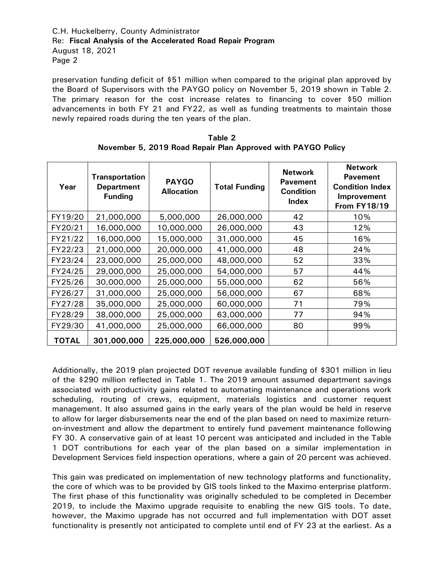C.H. Huckelberry, County Administrator Re: **Fiscal Analysis of the Accelerated Road Repair Program** August 18, 2021 Page 2

preservation funding deficit of \$51 million when compared to the original plan approved by the Board of Supervisors with the PAYGO policy on November 5, 2019 shown in Table 2. The primary reason for the cost increase relates to financing to cover \$50 million advancements in both FY 21 and FY22, as well as funding treatments to maintain those newly repaired roads during the ten years of the plan.

| Year         | <b>Transportation</b><br><b>Department</b><br><b>Funding</b> | <b>PAYGO</b><br><b>Allocation</b> | <b>Total Funding</b> | <b>Network</b><br><b>Pavement</b><br><b>Condition</b><br><b>Index</b> | <b>Network</b><br><b>Pavement</b><br><b>Condition Index</b><br>Improvement<br><b>From FY18/19</b> |
|--------------|--------------------------------------------------------------|-----------------------------------|----------------------|-----------------------------------------------------------------------|---------------------------------------------------------------------------------------------------|
| FY19/20      | 21,000,000                                                   | 5,000,000                         | 26,000,000           | 42                                                                    | 10%                                                                                               |
| FY20/21      | 16,000,000                                                   | 10,000,000                        | 26,000,000           | 43                                                                    | 12%                                                                                               |
| FY21/22      | 16,000,000                                                   | 15,000,000                        | 31,000,000           | 45                                                                    | 16%                                                                                               |
| FY22/23      | 21,000,000                                                   | 20,000,000                        | 41,000,000           | 48                                                                    | 24%                                                                                               |
| FY23/24      | 23,000,000                                                   | 25,000,000                        | 48,000,000           | 52                                                                    | 33%                                                                                               |
| FY24/25      | 29,000,000                                                   | 25,000,000                        | 54,000,000           | 57                                                                    | 44%                                                                                               |
| FY25/26      | 30,000,000                                                   | 25,000,000                        | 55,000,000           | 62                                                                    | 56%                                                                                               |
| FY26/27      | 31,000,000                                                   | 25,000,000                        | 56,000,000           | 67                                                                    | 68%                                                                                               |
| FY27/28      | 35,000,000                                                   | 25,000,000                        | 60,000,000           | 71                                                                    | 79%                                                                                               |
| FY28/29      | 38,000,000                                                   | 25,000,000                        | 63,000,000           | 77                                                                    | 94%                                                                                               |
| FY29/30      | 41,000,000                                                   | 25,000,000                        | 66,000,000           | 80                                                                    | 99%                                                                                               |
| <b>TOTAL</b> | 301,000,000                                                  | 225,000,000                       | 526,000,000          |                                                                       |                                                                                                   |

**Table 2 November 5, 2019 Road Repair Plan Approved with PAYGO Policy**

Additionally, the 2019 plan projected DOT revenue available funding of \$301 million in lieu of the \$290 million reflected in Table 1. The 2019 amount assumed department savings associated with productivity gains related to automating maintenance and operations work scheduling, routing of crews, equipment, materials logistics and customer request management. It also assumed gains in the early years of the plan would be held in reserve to allow for larger disbursements near the end of the plan based on need to maximize returnon-investment and allow the department to entirely fund pavement maintenance following FY 30. A conservative gain of at least 10 percent was anticipated and included in the Table 1 DOT contributions for each year of the plan based on a similar implementation in Development Services field inspection operations, where a gain of 20 percent was achieved.

This gain was predicated on implementation of new technology platforms and functionality, the core of which was to be provided by GIS tools linked to the Maximo enterprise platform. The first phase of this functionality was originally scheduled to be completed in December 2019, to include the Maximo upgrade requisite to enabling the new GIS tools. To date, however, the Maximo upgrade has not occurred and full implementation with DOT asset functionality is presently not anticipated to complete until end of FY 23 at the earliest. As a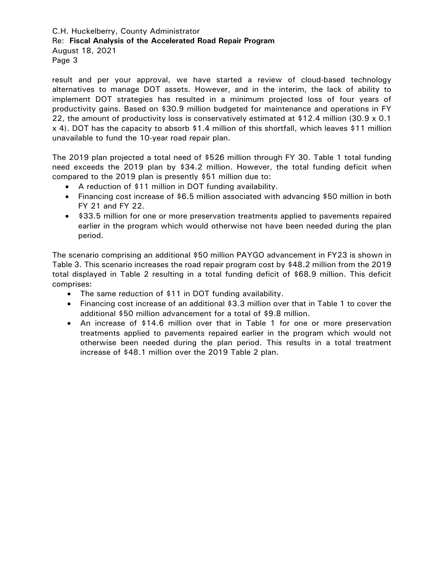C.H. Huckelberry, County Administrator Re: **Fiscal Analysis of the Accelerated Road Repair Program** August 18, 2021 Page 3

result and per your approval, we have started a review of cloud-based technology alternatives to manage DOT assets. However, and in the interim, the lack of ability to implement DOT strategies has resulted in a minimum projected loss of four years of productivity gains. Based on \$30.9 million budgeted for maintenance and operations in FY 22, the amount of productivity loss is conservatively estimated at \$12.4 million (30.9  $\times$  0.1 x 4). DOT has the capacity to absorb \$1.4 million of this shortfall, which leaves \$11 million unavailable to fund the 10-year road repair plan.

The 2019 plan projected a total need of \$526 million through FY 30. Table 1 total funding need exceeds the 2019 plan by \$34.2 million. However, the total funding deficit when compared to the 2019 plan is presently \$51 million due to:

- A reduction of \$11 million in DOT funding availability.
- Financing cost increase of \$6.5 million associated with advancing \$50 million in both FY 21 and FY 22.
- \$33.5 million for one or more preservation treatments applied to pavements repaired earlier in the program which would otherwise not have been needed during the plan period.

The scenario comprising an additional \$50 million PAYGO advancement in FY23 is shown in Table 3. This scenario increases the road repair program cost by \$48.2 million from the 2019 total displayed in Table 2 resulting in a total funding deficit of \$68.9 million. This deficit comprises:

- The same reduction of \$11 in DOT funding availability.
- Financing cost increase of an additional \$3.3 million over that in Table 1 to cover the additional \$50 million advancement for a total of \$9.8 million.
- An increase of \$14.6 million over that in Table 1 for one or more preservation treatments applied to pavements repaired earlier in the program which would not otherwise been needed during the plan period. This results in a total treatment increase of \$48.1 million over the 2019 Table 2 plan.